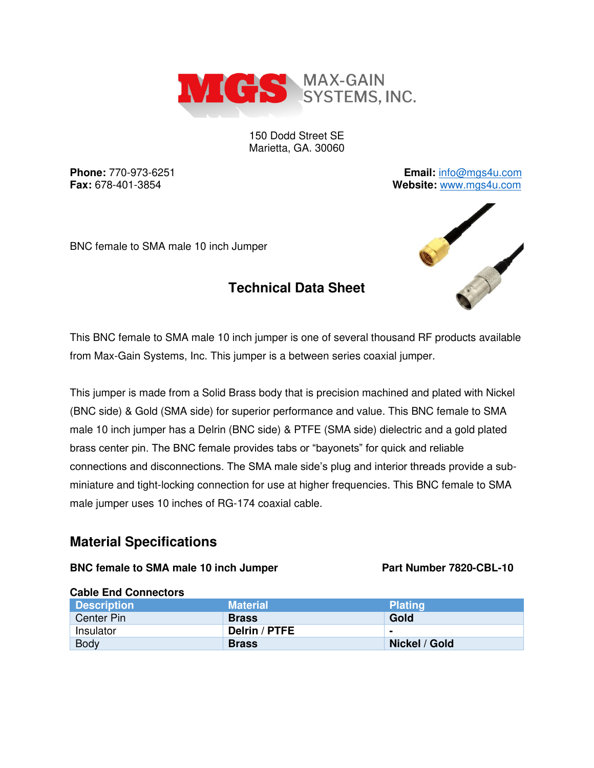

150 Dodd Street SE Marietta, GA. 30060

**Phone:** 770-973-6251 **Email:** [info@mgs4u.com](mailto:info@mgs4u.com) **Fax:** 678-401-3854 **Website:** [www.mgs4u.com](http://www.mgs4u.com/)

BNC female to SMA male 10 inch Jumper

# **Technical Data Sheet**



This BNC female to SMA male 10 inch jumper is one of several thousand RF products available from Max-Gain Systems, Inc. This jumper is a between series coaxial jumper.

This jumper is made from a Solid Brass body that is precision machined and plated with Nickel (BNC side) & Gold (SMA side) for superior performance and value. This BNC female to SMA male 10 inch jumper has a Delrin (BNC side) & PTFE (SMA side) dielectric and a gold plated brass center pin. The BNC female provides tabs or "bayonets" for quick and reliable connections and disconnections. The SMA male side's plug and interior threads provide a subminiature and tight-locking connection for use at higher frequencies. This BNC female to SMA male jumper uses 10 inches of RG-174 coaxial cable.

### **Material Specifications**

#### **BNC** female to SMA male 10 inch Jumper Part Number 7820-CBL-10

| <b>URBIC LITE VUILICULUIS</b> |                      |                |
|-------------------------------|----------------------|----------------|
| <b>Description</b>            | <b>Material</b>      | <b>Plating</b> |
| Center Pin                    | <b>Brass</b>         | Gold           |
| Insulator                     | <b>Delrin / PTFE</b> | $\blacksquare$ |
| <b>Body</b>                   | <b>Brass</b>         | Nickel / Gold  |

#### **Cable End Connectors**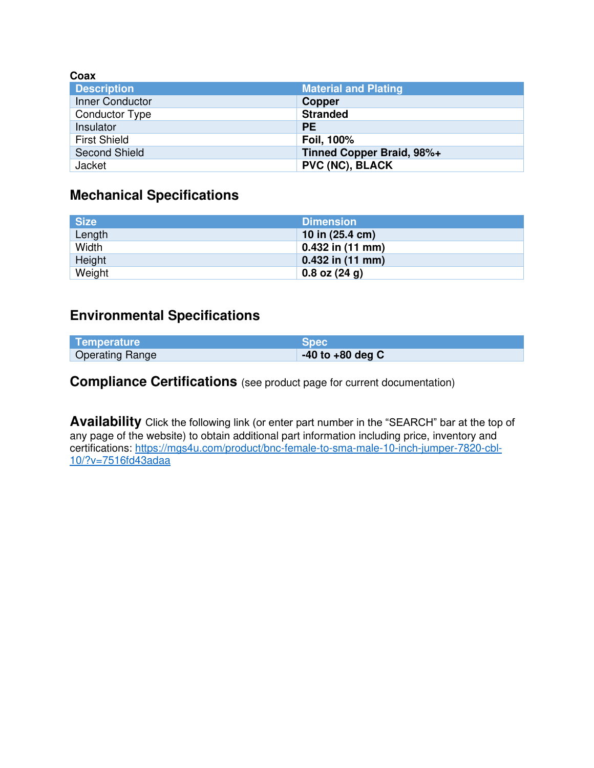| Coax                  |                             |
|-----------------------|-----------------------------|
| <b>Description</b>    | <b>Material and Plating</b> |
| Inner Conductor       | <b>Copper</b>               |
| <b>Conductor Type</b> | <b>Stranded</b>             |
| Insulator             | <b>PE</b>                   |
| <b>First Shield</b>   | Foil, 100%                  |
| <b>Second Shield</b>  | Tinned Copper Braid, 98%+   |
| Jacket                | <b>PVC (NC), BLACK</b>      |

# **Mechanical Specifications**

| <b>Size</b> | <b>Dimension</b>   |
|-------------|--------------------|
| Length      | 10 in (25.4 cm)    |
| Width       | $0.432$ in (11 mm) |
| Height      | $0.432$ in (11 mm) |
| Weight      | $0.8$ oz $(24 g)$  |

## **Environmental Specifications**

| Temperature            | <b>Spec</b>          |
|------------------------|----------------------|
| <b>Operating Range</b> | $-40$ to $+80$ deg C |

**Compliance Certifications** (see product page for current documentation)

**Availability** Click the following link (or enter part number in the "SEARCH" bar at the top of any page of the website) to obtain additional part information including price, inventory and certifications: [https://mgs4u.com/product/bnc-female-to-sma-male-10-inch-jumper-7820-cbl-](https://mgs4u.com/product/bnc-female-to-sma-male-10-inch-jumper-7820-cbl-10/?v=7516fd43adaa)[10/?v=7516fd43adaa](https://mgs4u.com/product/bnc-female-to-sma-male-10-inch-jumper-7820-cbl-10/?v=7516fd43adaa)